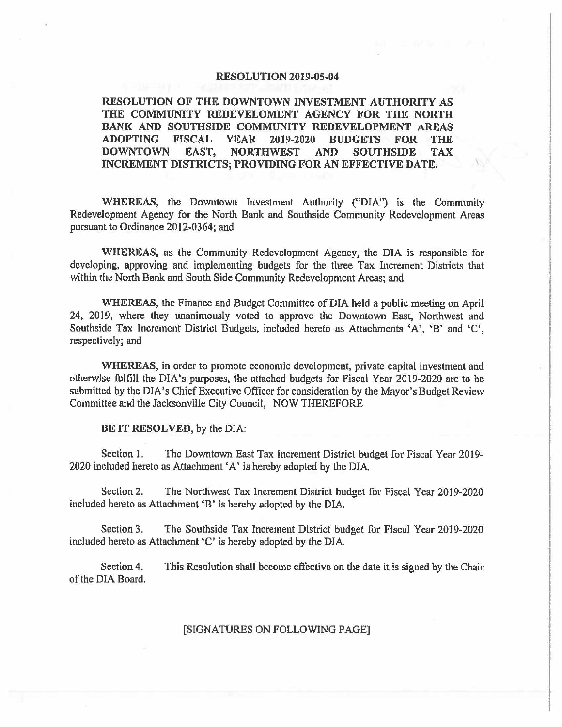#### **RESOLUTION** 2019-05-04

**RESOLUTION** OF **TIIE DOWNTOWN INVESTMENT AUTHORITY AS THE COMMUNITY REDEVELOMENT AGENCY FOR** THE **NORTH BANK AND SOUTHSIDE COMMUNITY REDEVELOPMENT AREAS ADOPTING FISCAL YEAR 2019-2020 BUDGETS FOR THE DOWNTOWN EAST, NORTHWEST AND SOUTHSIDE TAX INCREMENT DISTRICTS; PROVIDING FOR AN** EFFECTIVE **DATE.** \

**WHEREAS,** the Downtown Investment Authority ("DIA") is the Community Redevelopment Agency for the North Bank and Southside Community Redevelopment Areas pursuant to Ordinance 2012-0364; and

WHEREAS, as the Community Redevelopment Agency, the DIA is responsible for developing, approving and implementing budgets for the three Tax Increment Districts that within the North Bank and South Side Community Redevelopment Areas; and

**WHEREAS,** the Finance and Budget Committee of DIA held a public meeting on April 24, 2019, where they unanimously voted to approve the Downtown East, Northwest and Southside Tax Increment District Budgets, included hereto as Attachments 'A', 'B' and 'C', respectively; and

**WHEREAS,** in order to promote economic development, private capital investment and otherwise fulfill the DIA's purposes, the attached budgets for Fiscal Year 2019-2020 are to be submitted by the DIA's Chief Executive Officer for consideration by the Mayor's Budget Review Committee and the Jacksonville City Council, NOW THEREFORE

#### **BE IT RESOLVED,** by the DIA:

Section 1. The Downtown East Tax Increment District budget for Fiscal Year 2019- 2020 included hereto as Attachment 'A' is hereby adopted by the DlA

Section 2. The Northwest Tax Increment District budget for Fiscal Year 2019-2020 included hereto as Attachment 'B' is hereby adopted by the DIA.

Section 3. The Southside Tax Increment District budget for Fiscal Year 2019-2020 included hereto as Attachment 'C' is hereby adopted by the DIA

Section 4. This Resolution shall become effective on the date it is signed by the Chair of the DIA Board.

#### [SIGNATURES ON FOLLOWING PAGE]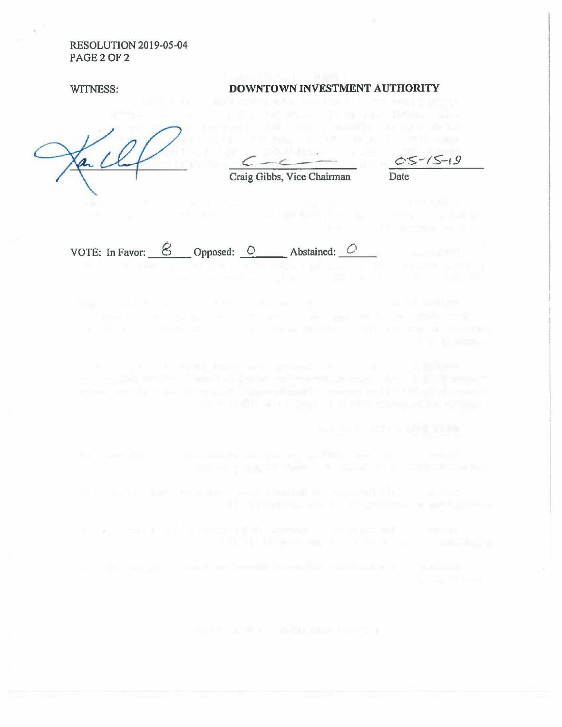RESOLUTION 2019-05-04 PAGE 2 OF 2

as.

#### WITNESS: **DOWNTOWN INVESTMENT AUTHORITY**

*C -c...-~-*

Craig Gibbs, Vice Chairman Date

VOTE: In Favor:  $\begin{array}{ccc} \mathcal{B} & \mathcal{O} \end{array}$  Opposed:  $\begin{array}{ccc} \mathcal{O} & \mathcal{A} \end{array}$  Abstained:  $\begin{array}{ccc} \mathcal{O} & \mathcal{O} \end{array}$ 

(C ) was to all a communicated to a communicate of the monopole of the monopole of the monopole of the monopole of the monopole of the monopole of the monopole of the monopole of the monopole of the monopole of the monopol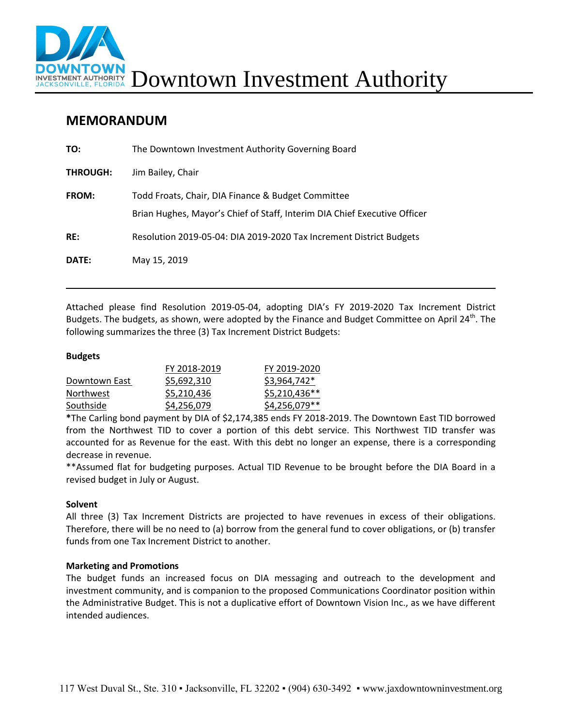

### **MEMORANDUM**

| TO:             | The Downtown Investment Authority Governing Board                                                                               |
|-----------------|---------------------------------------------------------------------------------------------------------------------------------|
| <b>THROUGH:</b> | Jim Bailey, Chair                                                                                                               |
| <b>FROM:</b>    | Todd Froats, Chair, DIA Finance & Budget Committee<br>Brian Hughes, Mayor's Chief of Staff, Interim DIA Chief Executive Officer |
| RE:             | Resolution 2019-05-04: DIA 2019-2020 Tax Increment District Budgets                                                             |
| DATE:           | May 15, 2019                                                                                                                    |

Attached please find Resolution 2019-05-04, adopting DIA's FY 2019-2020 Tax Increment District Budgets. The budgets, as shown, were adopted by the Finance and Budget Committee on April 24<sup>th</sup>. The following summarizes the three (3) Tax Increment District Budgets:

### **Budgets**

|               | FY 2018-2019 | FY 2019-2020   |
|---------------|--------------|----------------|
| Downtown East | \$5,692,310  | \$3,964,742*   |
| Northwest     | \$5,210,436  | \$5,210,436**  |
| Southside     | \$4,256,079  | $$4,256,079**$ |

**\***The Carling bond payment by DIA of \$2,174,385 ends FY 2018-2019. The Downtown East TID borrowed from the Northwest TID to cover a portion of this debt service. This Northwest TID transfer was accounted for as Revenue for the east. With this debt no longer an expense, there is a corresponding decrease in revenue.

\*\*Assumed flat for budgeting purposes. Actual TID Revenue to be brought before the DIA Board in a revised budget in July or August.

### **Solvent**

All three (3) Tax Increment Districts are projected to have revenues in excess of their obligations. Therefore, there will be no need to (a) borrow from the general fund to cover obligations, or (b) transfer funds from one Tax Increment District to another.

### **Marketing and Promotions**

The budget funds an increased focus on DIA messaging and outreach to the development and investment community, and is companion to the proposed Communications Coordinator position within the Administrative Budget. This is not a duplicative effort of Downtown Vision Inc., as we have different intended audiences.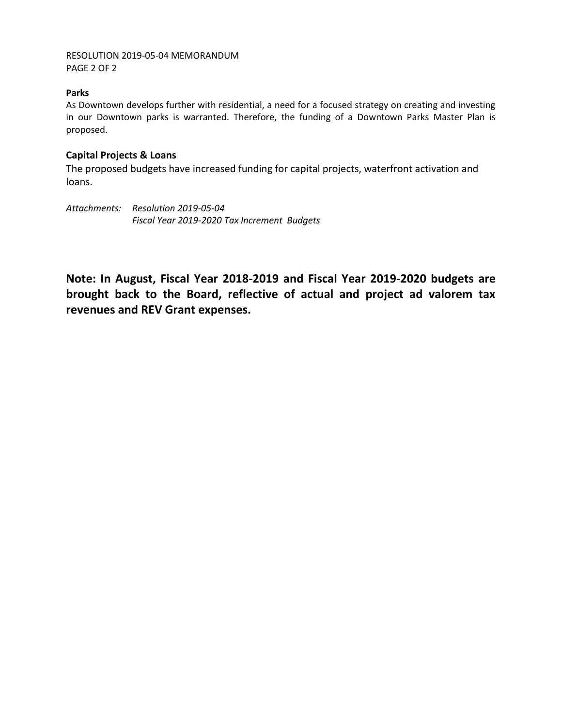### RESOLUTION 2019-05-04 MEMORANDUM PAGE 2 OF 2

### **Parks**

As Downtown develops further with residential, a need for a focused strategy on creating and investing in our Downtown parks is warranted. Therefore, the funding of a Downtown Parks Master Plan is proposed.

### **Capital Projects & Loans**

The proposed budgets have increased funding for capital projects, waterfront activation and loans.

*Attachments: Resolution 2019-05-04 Fiscal Year 2019-2020 Tax Increment Budgets*

**Note: In August, Fiscal Year 2018-2019 and Fiscal Year 2019-2020 budgets are brought back to the Board, reflective of actual and project ad valorem tax revenues and REV Grant expenses.**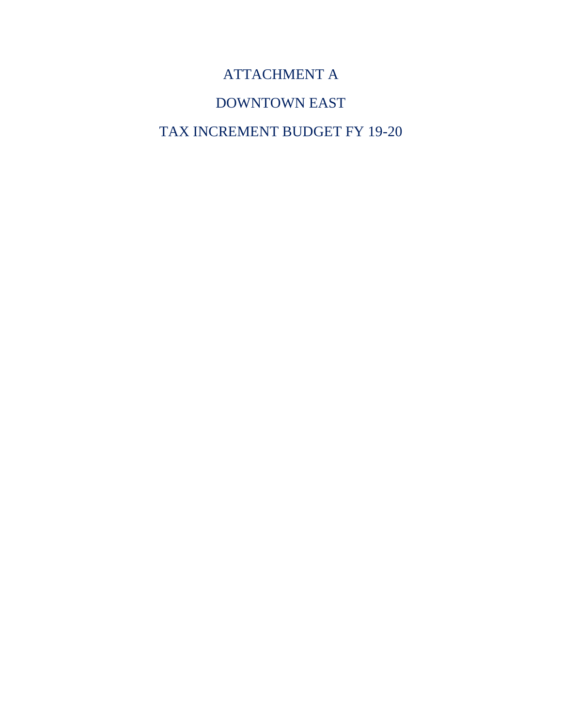# ATTACHMENT A

# DOWNTOWN EAST

# TAX INCREMENT BUDGET FY 19-20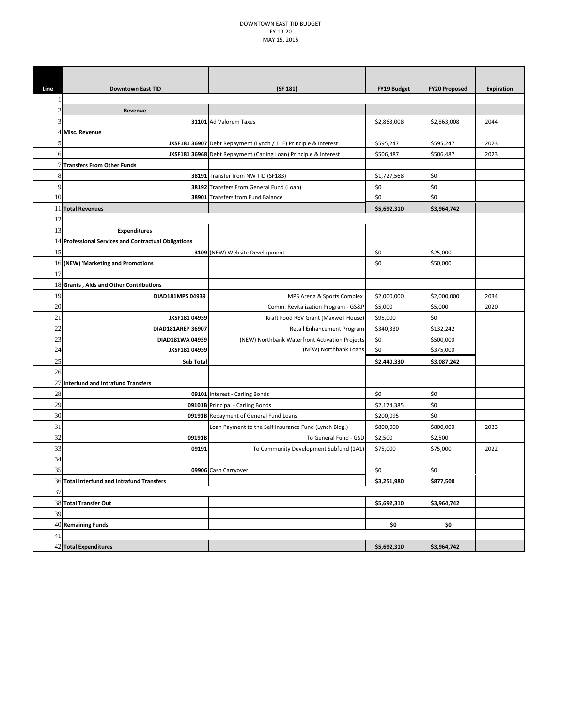#### DOWNTOWN EAST TID BUDGET FY 19‐20 MAY 15, 2015

| Line           | <b>Downtown East TID</b>                             | (SF 181)                                                         | FY19 Budget | <b>FY20 Proposed</b> | <b>Expiration</b> |
|----------------|------------------------------------------------------|------------------------------------------------------------------|-------------|----------------------|-------------------|
|                |                                                      |                                                                  |             |                      |                   |
| $\overline{c}$ | Revenue                                              |                                                                  |             |                      |                   |
| 3              |                                                      | 31101 Ad Valorem Taxes                                           | \$2,863,008 | \$2,863,008          | 2044              |
| 4              | Misc. Revenue                                        |                                                                  |             |                      |                   |
| 5              |                                                      | JXSF181 36907 Debt Repayment (Lynch / 11E) Principle & Interest  | \$595,247   | \$595,247            | 2023              |
| 6              |                                                      | JXSF181 36968 Debt Repayment (Carling Loan) Principle & Interest | \$506,487   | \$506,487            | 2023              |
|                | 7 Transfers From Other Funds                         |                                                                  |             |                      |                   |
| 8              |                                                      | 38191 Transfer from NW TID (SF183)                               | \$1,727,568 | \$0                  |                   |
| 9              |                                                      | 38192 Transfers From General Fund (Loan)                         | \$0         | \$0                  |                   |
| 10             |                                                      | 38901 Transfers from Fund Balance                                | \$0         | \$0                  |                   |
|                | 11 Total Revenues                                    |                                                                  | \$5,692,310 | \$3,964,742          |                   |
| 12             |                                                      |                                                                  |             |                      |                   |
| 13             | <b>Expenditures</b>                                  |                                                                  |             |                      |                   |
|                | 14 Professional Services and Contractual Obligations |                                                                  |             |                      |                   |
| 15             |                                                      | 3109 (NEW) Website Development                                   | \$0         | \$25,000             |                   |
|                | 16 (NEW) 'Marketing and Promotions                   |                                                                  | \$0         | \$50,000             |                   |
| 17             |                                                      |                                                                  |             |                      |                   |
|                | 18 Grants, Aids and Other Contributions              |                                                                  |             |                      |                   |
| 19             | DIAD181MPS 04939                                     | MPS Arena & Sports Complex                                       | \$2,000,000 | \$2,000,000          | 2034              |
| 20             |                                                      | Comm. Revitalization Program - GS&P                              | \$5,000     | \$5,000              | 2020              |
| 21             | JXSF181 04939                                        | Kraft Food REV Grant (Maxwell House)                             | \$95,000    | \$0                  |                   |
| 22             | DIAD181AREP 36907                                    | Retail Enhancement Program                                       | \$340,330   | \$132,242            |                   |
| 23             | DIAD181WA 04939                                      | (NEW) Northbank Waterfront Activation Projects                   | \$0         | \$500,000            |                   |
| 24             | JXSF181 04939                                        | (NEW) Northbank Loans                                            | \$0         | \$375,000            |                   |
| 25             | <b>Sub Total</b>                                     |                                                                  | \$2,440,330 | \$3,087,242          |                   |
| 26             |                                                      |                                                                  |             |                      |                   |
|                | 27 Interfund and Intrafund Transfers                 |                                                                  |             |                      |                   |
| 28             |                                                      | 09101 Interest - Carling Bonds                                   | \$0         | \$0                  |                   |
| 29             |                                                      | 09101B Principal - Carling Bonds                                 | \$2,174,385 | \$0                  |                   |
| 30             |                                                      | 09191B Repayment of General Fund Loans                           | \$200,095   | \$0                  |                   |
| 31             |                                                      | Loan Payment to the Self Insurance Fund (Lynch Bldg.)            | \$800,000   | \$800,000            | 2033              |
| 32             | 09191B                                               | To General Fund - GSD                                            | \$2,500     | \$2,500              |                   |
| 33             | 09191                                                | To Community Development Subfund (1A1)                           | \$75,000    | \$75,000             | 2022              |
| 34             |                                                      |                                                                  |             |                      |                   |
| 35             |                                                      | 09906 Cash Carryover                                             | \$0         | \$0                  |                   |
|                | 36 Total Interfund and Intrafund Transfers           |                                                                  | \$3,251,980 | \$877,500            |                   |
| 37             |                                                      |                                                                  |             |                      |                   |
|                | 38 Total Transfer Out                                |                                                                  | \$5,692,310 | \$3,964,742          |                   |
| 39             |                                                      |                                                                  |             |                      |                   |
|                | $40$ Remaining Funds                                 |                                                                  | \$0         | \$0                  |                   |
| 41             |                                                      |                                                                  |             |                      |                   |
|                | 42 Total Expenditures                                |                                                                  | \$5,692,310 | \$3,964,742          |                   |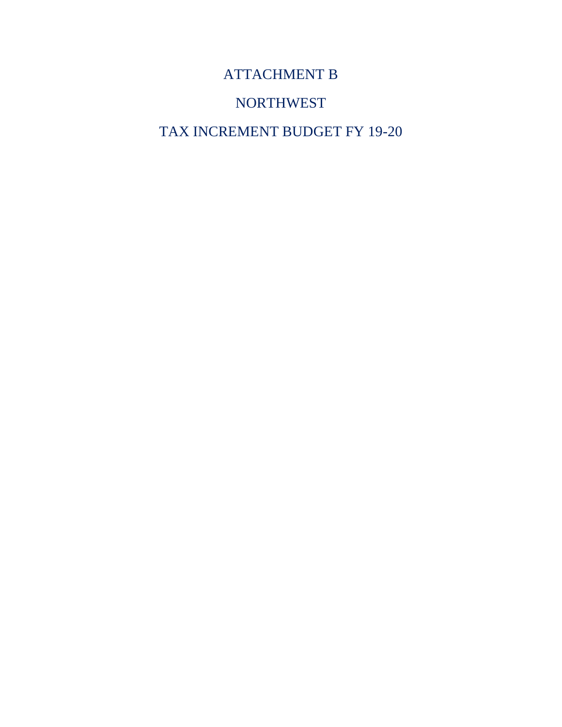# ATTACHMENT B

### NORTHWEST

# TAX INCREMENT BUDGET FY 19-20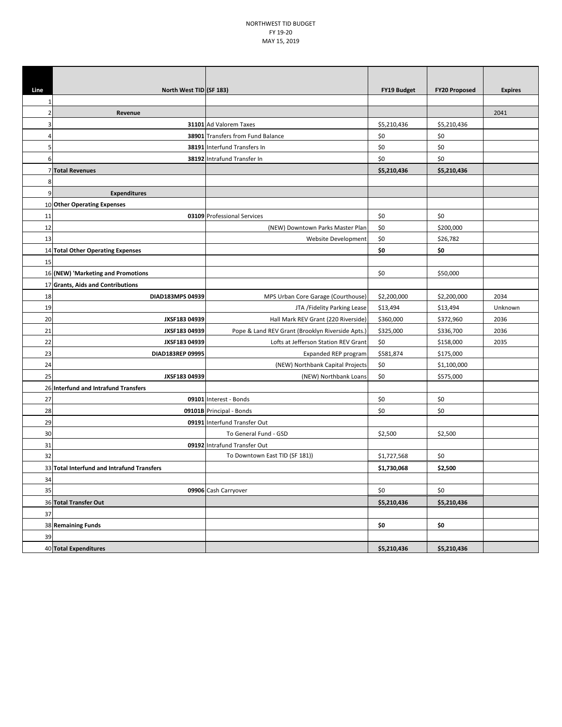#### NORTHWEST TID BUDGET FY 19‐20 MAY 15, 2019

| Line<br>North West TID (SF 183)<br><b>FY19 Budget</b><br><b>FY20 Proposed</b><br><b>Expires</b><br>2041<br>Revenue<br>2<br>31101 Ad Valorem Taxes<br>\$5,210,436<br>\$5,210,436<br>3<br>\$0<br>38901 Transfers from Fund Balance<br>\$0<br>4<br>\$0<br>\$0<br>5<br>38191 Interfund Transfers In<br>\$0<br>\$0<br>6<br>38192 Intrafund Transfer In<br>7 Total Revenues<br>\$5,210,436<br>\$5,210,436<br>8<br>9<br><b>Expenditures</b><br>10 Other Operating Expenses<br>11<br>03109 Professional Services<br>\$0<br>\$0<br>12<br>\$0<br>\$200,000<br>(NEW) Downtown Parks Master Plan<br>13<br>\$0<br>Website Development<br>\$26,782<br>\$0<br>14 Total Other Operating Expenses<br>\$0<br>15<br>\$0<br>16 (NEW) 'Marketing and Promotions<br>\$50,000<br>17 Grants, Aids and Contributions<br>18<br>\$2,200,000<br>\$2,200,000<br>2034<br>DIAD183MPS 04939<br>MPS Urban Core Garage (Courthouse) |  |
|---------------------------------------------------------------------------------------------------------------------------------------------------------------------------------------------------------------------------------------------------------------------------------------------------------------------------------------------------------------------------------------------------------------------------------------------------------------------------------------------------------------------------------------------------------------------------------------------------------------------------------------------------------------------------------------------------------------------------------------------------------------------------------------------------------------------------------------------------------------------------------------------------|--|
|                                                                                                                                                                                                                                                                                                                                                                                                                                                                                                                                                                                                                                                                                                                                                                                                                                                                                                   |  |
|                                                                                                                                                                                                                                                                                                                                                                                                                                                                                                                                                                                                                                                                                                                                                                                                                                                                                                   |  |
|                                                                                                                                                                                                                                                                                                                                                                                                                                                                                                                                                                                                                                                                                                                                                                                                                                                                                                   |  |
|                                                                                                                                                                                                                                                                                                                                                                                                                                                                                                                                                                                                                                                                                                                                                                                                                                                                                                   |  |
|                                                                                                                                                                                                                                                                                                                                                                                                                                                                                                                                                                                                                                                                                                                                                                                                                                                                                                   |  |
|                                                                                                                                                                                                                                                                                                                                                                                                                                                                                                                                                                                                                                                                                                                                                                                                                                                                                                   |  |
|                                                                                                                                                                                                                                                                                                                                                                                                                                                                                                                                                                                                                                                                                                                                                                                                                                                                                                   |  |
|                                                                                                                                                                                                                                                                                                                                                                                                                                                                                                                                                                                                                                                                                                                                                                                                                                                                                                   |  |
|                                                                                                                                                                                                                                                                                                                                                                                                                                                                                                                                                                                                                                                                                                                                                                                                                                                                                                   |  |
|                                                                                                                                                                                                                                                                                                                                                                                                                                                                                                                                                                                                                                                                                                                                                                                                                                                                                                   |  |
|                                                                                                                                                                                                                                                                                                                                                                                                                                                                                                                                                                                                                                                                                                                                                                                                                                                                                                   |  |
|                                                                                                                                                                                                                                                                                                                                                                                                                                                                                                                                                                                                                                                                                                                                                                                                                                                                                                   |  |
|                                                                                                                                                                                                                                                                                                                                                                                                                                                                                                                                                                                                                                                                                                                                                                                                                                                                                                   |  |
|                                                                                                                                                                                                                                                                                                                                                                                                                                                                                                                                                                                                                                                                                                                                                                                                                                                                                                   |  |
|                                                                                                                                                                                                                                                                                                                                                                                                                                                                                                                                                                                                                                                                                                                                                                                                                                                                                                   |  |
|                                                                                                                                                                                                                                                                                                                                                                                                                                                                                                                                                                                                                                                                                                                                                                                                                                                                                                   |  |
|                                                                                                                                                                                                                                                                                                                                                                                                                                                                                                                                                                                                                                                                                                                                                                                                                                                                                                   |  |
|                                                                                                                                                                                                                                                                                                                                                                                                                                                                                                                                                                                                                                                                                                                                                                                                                                                                                                   |  |
|                                                                                                                                                                                                                                                                                                                                                                                                                                                                                                                                                                                                                                                                                                                                                                                                                                                                                                   |  |
| 19<br>JTA /Fidelity Parking Lease<br>\$13,494<br>\$13,494<br>Unknown                                                                                                                                                                                                                                                                                                                                                                                                                                                                                                                                                                                                                                                                                                                                                                                                                              |  |
| \$360,000<br>20<br>JXSF183 04939<br>Hall Mark REV Grant (220 Riverside)<br>\$372,960<br>2036                                                                                                                                                                                                                                                                                                                                                                                                                                                                                                                                                                                                                                                                                                                                                                                                      |  |
| 21<br>JXSF183 04939<br>Pope & Land REV Grant (Brooklyn Riverside Apts.)<br>\$325,000<br>\$336,700<br>2036                                                                                                                                                                                                                                                                                                                                                                                                                                                                                                                                                                                                                                                                                                                                                                                         |  |
| 22<br>\$0<br>JXSF183 04939<br>Lofts at Jefferson Station REV Grant<br>\$158,000<br>2035                                                                                                                                                                                                                                                                                                                                                                                                                                                                                                                                                                                                                                                                                                                                                                                                           |  |
| 23<br>DIAD183REP 09995<br>\$581,874<br>\$175,000<br>Expanded REP program                                                                                                                                                                                                                                                                                                                                                                                                                                                                                                                                                                                                                                                                                                                                                                                                                          |  |
| 24<br>\$0<br>(NEW) Northbank Capital Projects<br>\$1,100,000                                                                                                                                                                                                                                                                                                                                                                                                                                                                                                                                                                                                                                                                                                                                                                                                                                      |  |
| 25<br>\$0<br>JXSF183 04939<br>(NEW) Northbank Loans<br>\$575,000                                                                                                                                                                                                                                                                                                                                                                                                                                                                                                                                                                                                                                                                                                                                                                                                                                  |  |
| 26 Interfund and Intrafund Transfers                                                                                                                                                                                                                                                                                                                                                                                                                                                                                                                                                                                                                                                                                                                                                                                                                                                              |  |
| 09101 Interest - Bonds<br>\$0<br>27<br>\$0                                                                                                                                                                                                                                                                                                                                                                                                                                                                                                                                                                                                                                                                                                                                                                                                                                                        |  |
| 09101B Principal - Bonds<br>\$0<br>\$0<br>28                                                                                                                                                                                                                                                                                                                                                                                                                                                                                                                                                                                                                                                                                                                                                                                                                                                      |  |
| 29<br>09191 Interfund Transfer Out                                                                                                                                                                                                                                                                                                                                                                                                                                                                                                                                                                                                                                                                                                                                                                                                                                                                |  |
| 30<br>To General Fund - GSD<br>\$2,500<br>\$2,500                                                                                                                                                                                                                                                                                                                                                                                                                                                                                                                                                                                                                                                                                                                                                                                                                                                 |  |
| 31<br>09192 Intrafund Transfer Out                                                                                                                                                                                                                                                                                                                                                                                                                                                                                                                                                                                                                                                                                                                                                                                                                                                                |  |
| To Downtown East TID (SF 181))<br>32<br>\$0<br>\$1,727,568                                                                                                                                                                                                                                                                                                                                                                                                                                                                                                                                                                                                                                                                                                                                                                                                                                        |  |
| 33 Total Interfund and Intrafund Transfers<br>\$1,730,068<br>\$2,500                                                                                                                                                                                                                                                                                                                                                                                                                                                                                                                                                                                                                                                                                                                                                                                                                              |  |
| 34                                                                                                                                                                                                                                                                                                                                                                                                                                                                                                                                                                                                                                                                                                                                                                                                                                                                                                |  |
| 35<br>09906 Cash Carryover<br>\$0<br>\$0                                                                                                                                                                                                                                                                                                                                                                                                                                                                                                                                                                                                                                                                                                                                                                                                                                                          |  |
| 36 Total Transfer Out<br>\$5,210,436<br>\$5,210,436                                                                                                                                                                                                                                                                                                                                                                                                                                                                                                                                                                                                                                                                                                                                                                                                                                               |  |
| 37                                                                                                                                                                                                                                                                                                                                                                                                                                                                                                                                                                                                                                                                                                                                                                                                                                                                                                |  |
| 38 Remaining Funds<br>\$0<br>\$0                                                                                                                                                                                                                                                                                                                                                                                                                                                                                                                                                                                                                                                                                                                                                                                                                                                                  |  |
| 39                                                                                                                                                                                                                                                                                                                                                                                                                                                                                                                                                                                                                                                                                                                                                                                                                                                                                                |  |
| 40 Total Expenditures<br>\$5,210,436<br>\$5,210,436                                                                                                                                                                                                                                                                                                                                                                                                                                                                                                                                                                                                                                                                                                                                                                                                                                               |  |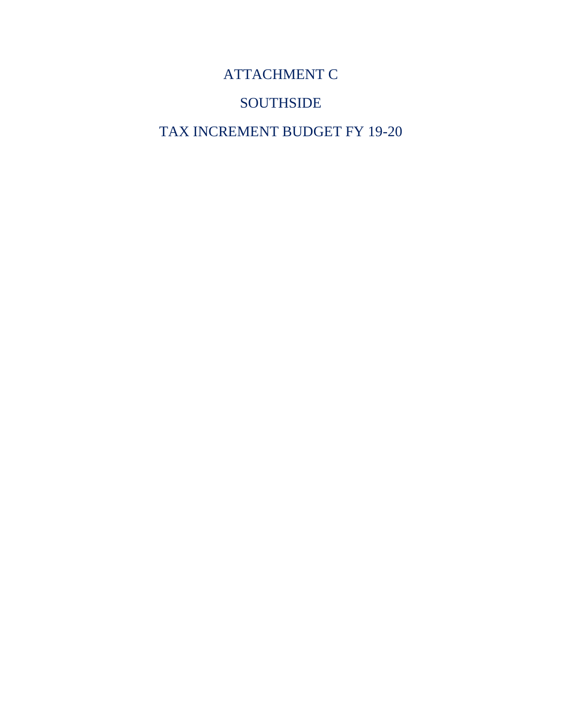ATTACHMENT C

### **SOUTHSIDE**

TAX INCREMENT BUDGET FY 19-20